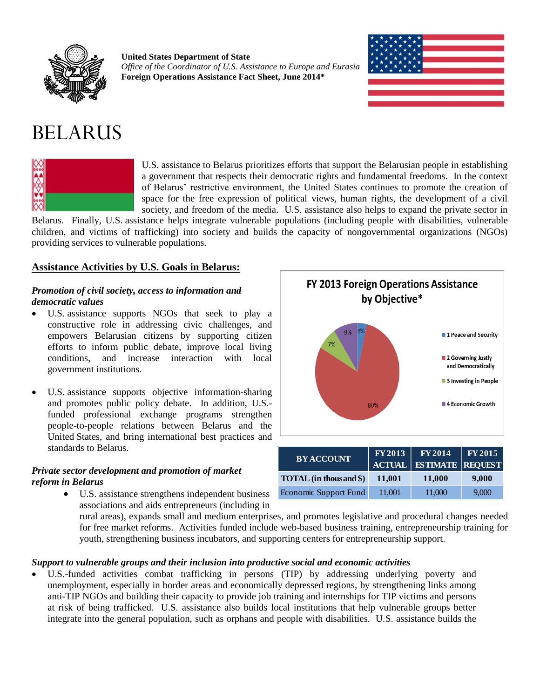

**United States Department of State** *Office of the Coordinator of U.S. Assistance to Europe and Eurasia* **Foreign Operations Assistance Fact Sheet, June 2014\***



# BELARUS



U.S. assistance to Belarus prioritizes efforts that support the Belarusian people in establishing a government that respects their democratic rights and fundamental freedoms. In the context of Belarus' restrictive environment, the United States continues to promote the creation of space for the free expression of political views, human rights, the development of a civil society, and freedom of the media. U.S. assistance also helps to expand the private sector in

Belarus. Finally, U.S. assistance helps integrate vulnerable populations (including people with disabilities, vulnerable children, and victims of trafficking) into society and builds the capacity of nongovernmental organizations (NGOs) providing services to vulnerable populations.

## **Assistance Activities by U.S. Goals in Belarus:**

### *Promotion of civil society, access to information and democratic values*

- U.S. assistance supports NGOs that seek to play a constructive role in addressing civic challenges, and empowers Belarusian citizens by supporting citizen efforts to inform public debate, improve local living conditions, and increase interaction with local government institutions.
- U.S. assistance supports objective information-sharing and promotes public policy debate. In addition, U.S. funded professional exchange programs strengthen people-to-people relations between Belarus and the United States, and bring international best practices and standards to Belarus.

## *Private sector development and promotion of market reform in Belarus*

 U.S. assistance strengthens independent business associations and aids entrepreneurs (including in



| <b>BY ACCOUNT</b>      |        | $FY2013$ $FY2014$ $FY2015$<br>ACTUAL ESTIMATE REQUEST |       |
|------------------------|--------|-------------------------------------------------------|-------|
| TOTAL (in thousand \$) | 11.001 | 11,000                                                | 9,000 |
| Economic Support Fund  | 11,001 | 11,000                                                | 9,000 |

rural areas), expands small and medium enterprises, and promotes legislative and procedural changes needed for free market reforms. Activities funded include web-based business training, entrepreneurship training for youth, strengthening business incubators, and supporting centers for entrepreneurship support.

#### *Support to vulnerable groups and their inclusion into productive social and economic activities*

 U.S.-funded activities combat trafficking in persons (TIP) by addressing underlying poverty and unemployment, especially in border areas and economically depressed regions, by strengthening links among anti-TIP NGOs and building their capacity to provide job training and internships for TIP victims and persons at risk of being trafficked. U.S. assistance also builds local institutions that help vulnerable groups better integrate into the general population, such as orphans and people with disabilities. U.S. assistance builds the